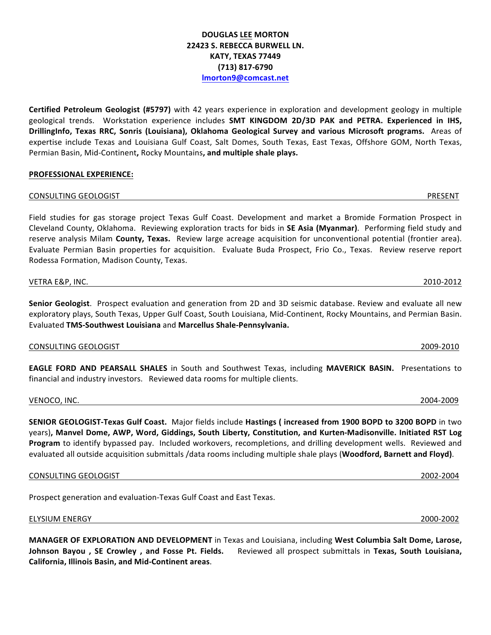# **DOUGLAS LEE MORTON 22423 S. REBECCA BURWELL LN. KATY, TEXAS 77449 (713) 817-6790 lmorton9@comcast.net**

**Certified Petroleum Geologist (#5797)** with 42 years experience in exploration and development geology in multiple geological trends. Workstation experience includes **SMT KINGDOM 2D/3D PAK and PETRA. Experienced in IHS, DrillingInfo, Texas RRC, Sonris (Louisiana), Oklahoma Geological Survey and various Microsoft programs.**  Areas of expertise include Texas and Louisiana Gulf Coast, Salt Domes, South Texas, East Texas, Offshore GOM, North Texas, Permian Basin, Mid-Continent, Rocky Mountains, and multiple shale plays.

## **PROFESSIONAL EXPERIENCE:**

### CONSULTING GEOLOGIST PRESENT

Field studies for gas storage project Texas Gulf Coast. Development and market a Bromide Formation Prospect in Cleveland County, Oklahoma. Reviewing exploration tracts for bids in **SE Asia (Myanmar)**. Performing field study and reserve analysis Milam **County, Texas.** Review large acreage acquisition for unconventional potential (frontier area). Evaluate Permian Basin properties for acquisition. Evaluate Buda Prospect, Frio Co., Texas. Review reserve report Rodessa Formation, Madison County, Texas.

VETRA E&P, INC. 2010-2012

**Senior Geologist**. Prospect evaluation and generation from 2D and 3D seismic database. Review and evaluate all new exploratory plays, South Texas, Upper Gulf Coast, South Louisiana, Mid-Continent, Rocky Mountains, and Permian Basin. Evaluated **TMS-Southwest Louisiana** and **Marcellus Shale-Pennsylvania.**

CONSULTING GEOLOGIST 2009-2010

**EAGLE FORD AND PEARSALL SHALES** in South and Southwest Texas, including **MAVERICK BASIN.** Presentations to financial and industry investors. Reviewed data rooms for multiple clients.

VENOCO, INC. 2004-2009

**SENIOR GEOLOGIST-Texas Gulf Coast.** Major fields include Hastings (increased from 1900 BOPD to 3200 BOPD in two years), Manvel Dome, AWP, Word, Giddings, South Liberty, Constitution, and Kurten-Madisonville. Initiated RST Log Program to identify bypassed pay. Included workovers, recompletions, and drilling development wells. Reviewed and evaluated all outside acquisition submittals /data rooms including multiple shale plays (Woodford, Barnett and Floyd).

CONSULTING GEOLOGIST 2002-2004

Prospect generation and evaluation-Texas Gulf Coast and East Texas.

### ELYSIUM ENERGY 2000-2002

**MANAGER OF EXPLORATION AND DEVELOPMENT** in Texas and Louisiana, including West Columbia Salt Dome, Larose, **Johnson Bayou**, SE Crowley, and Fosse Pt. Fields. Reviewed all prospect submittals in Texas, South Louisiana, **California, Illinois Basin, and Mid-Continent areas**.